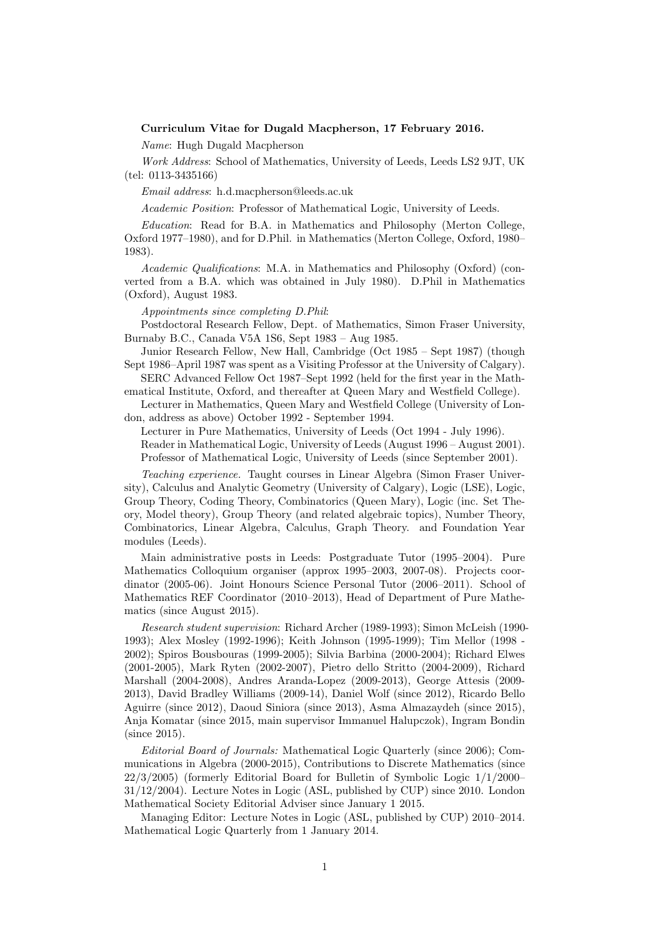## Curriculum Vitae for Dugald Macpherson, 17 February 2016.

Name: Hugh Dugald Macpherson

Work Address: School of Mathematics, University of Leeds, Leeds LS2 9JT, UK (tel: 0113-3435166)

Email address: h.d.macpherson@leeds.ac.uk

Academic Position: Professor of Mathematical Logic, University of Leeds.

Education: Read for B.A. in Mathematics and Philosophy (Merton College, Oxford 1977–1980), and for D.Phil. in Mathematics (Merton College, Oxford, 1980– 1983).

Academic Qualifications: M.A. in Mathematics and Philosophy (Oxford) (converted from a B.A. which was obtained in July 1980). D.Phil in Mathematics (Oxford), August 1983.

Appointments since completing D.Phil:

Postdoctoral Research Fellow, Dept. of Mathematics, Simon Fraser University, Burnaby B.C., Canada V5A 1S6, Sept 1983 – Aug 1985.

Junior Research Fellow, New Hall, Cambridge (Oct 1985 – Sept 1987) (though Sept 1986–April 1987 was spent as a Visiting Professor at the University of Calgary).

SERC Advanced Fellow Oct 1987–Sept 1992 (held for the first year in the Mathematical Institute, Oxford, and thereafter at Queen Mary and Westfield College).

Lecturer in Mathematics, Queen Mary and Westfield College (University of London, address as above) October 1992 - September 1994.

Lecturer in Pure Mathematics, University of Leeds (Oct 1994 - July 1996).

Reader in Mathematical Logic, University of Leeds (August 1996 – August 2001). Professor of Mathematical Logic, University of Leeds (since September 2001).

Teaching experience. Taught courses in Linear Algebra (Simon Fraser University), Calculus and Analytic Geometry (University of Calgary), Logic (LSE), Logic, Group Theory, Coding Theory, Combinatorics (Queen Mary), Logic (inc. Set Theory, Model theory), Group Theory (and related algebraic topics), Number Theory, Combinatorics, Linear Algebra, Calculus, Graph Theory. and Foundation Year modules (Leeds).

Main administrative posts in Leeds: Postgraduate Tutor (1995–2004). Pure Mathematics Colloquium organiser (approx 1995–2003, 2007-08). Projects coordinator (2005-06). Joint Honours Science Personal Tutor (2006–2011). School of Mathematics REF Coordinator (2010–2013), Head of Department of Pure Mathematics (since August 2015).

Research student supervision: Richard Archer (1989-1993); Simon McLeish (1990- 1993); Alex Mosley (1992-1996); Keith Johnson (1995-1999); Tim Mellor (1998 - 2002); Spiros Bousbouras (1999-2005); Silvia Barbina (2000-2004); Richard Elwes (2001-2005), Mark Ryten (2002-2007), Pietro dello Stritto (2004-2009), Richard Marshall (2004-2008), Andres Aranda-Lopez (2009-2013), George Attesis (2009- 2013), David Bradley Williams (2009-14), Daniel Wolf (since 2012), Ricardo Bello Aguirre (since 2012), Daoud Siniora (since 2013), Asma Almazaydeh (since 2015), Anja Komatar (since 2015, main supervisor Immanuel Halupczok), Ingram Bondin (since 2015).

Editorial Board of Journals: Mathematical Logic Quarterly (since 2006); Communications in Algebra (2000-2015), Contributions to Discrete Mathematics (since 22/3/2005) (formerly Editorial Board for Bulletin of Symbolic Logic 1/1/2000– 31/12/2004). Lecture Notes in Logic (ASL, published by CUP) since 2010. London Mathematical Society Editorial Adviser since January 1 2015.

Managing Editor: Lecture Notes in Logic (ASL, published by CUP) 2010–2014. Mathematical Logic Quarterly from 1 January 2014.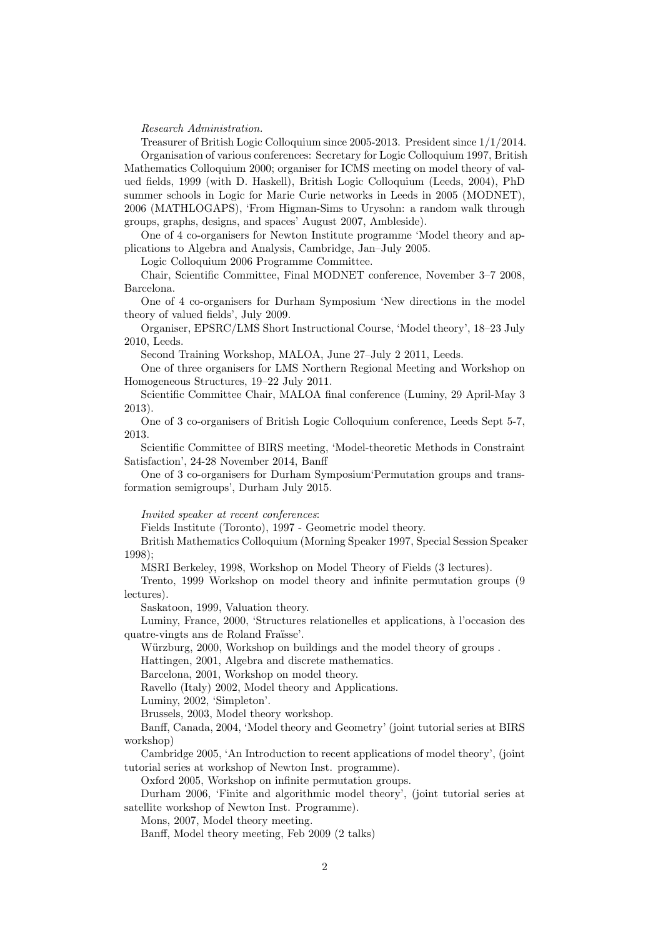Research Administration.

Treasurer of British Logic Colloquium since 2005-2013. President since 1/1/2014. Organisation of various conferences: Secretary for Logic Colloquium 1997, British Mathematics Colloquium 2000; organiser for ICMS meeting on model theory of valued fields, 1999 (with D. Haskell), British Logic Colloquium (Leeds, 2004), PhD summer schools in Logic for Marie Curie networks in Leeds in 2005 (MODNET), 2006 (MATHLOGAPS), 'From Higman-Sims to Urysohn: a random walk through groups, graphs, designs, and spaces' August 2007, Ambleside).

One of 4 co-organisers for Newton Institute programme 'Model theory and applications to Algebra and Analysis, Cambridge, Jan–July 2005.

Logic Colloquium 2006 Programme Committee.

Chair, Scientific Committee, Final MODNET conference, November 3–7 2008, Barcelona.

One of 4 co-organisers for Durham Symposium 'New directions in the model theory of valued fields', July 2009.

Organiser, EPSRC/LMS Short Instructional Course, 'Model theory', 18–23 July 2010, Leeds.

Second Training Workshop, MALOA, June 27–July 2 2011, Leeds.

One of three organisers for LMS Northern Regional Meeting and Workshop on Homogeneous Structures, 19–22 July 2011.

Scientific Committee Chair, MALOA final conference (Luminy, 29 April-May 3 2013).

One of 3 co-organisers of British Logic Colloquium conference, Leeds Sept 5-7, 2013.

Scientific Committee of BIRS meeting, 'Model-theoretic Methods in Constraint Satisfaction', 24-28 November 2014, Banff

One of 3 co-organisers for Durham Symposium'Permutation groups and transformation semigroups', Durham July 2015.

Invited speaker at recent conferences:

Fields Institute (Toronto), 1997 - Geometric model theory.

British Mathematics Colloquium (Morning Speaker 1997, Special Session Speaker 1998);

MSRI Berkeley, 1998, Workshop on Model Theory of Fields (3 lectures).

Trento, 1999 Workshop on model theory and infinite permutation groups (9 lectures).

Saskatoon, 1999, Valuation theory.

Luminy, France, 2000, 'Structures relationelles et applications, à l'occasion des quatre-vingts ans de Roland Fraüsse'.

Würzburg, 2000, Workshop on buildings and the model theory of groups.

Hattingen, 2001, Algebra and discrete mathematics.

Barcelona, 2001, Workshop on model theory.

Ravello (Italy) 2002, Model theory and Applications.

Luminy, 2002, 'Simpleton'.

Brussels, 2003, Model theory workshop.

Banff, Canada, 2004, 'Model theory and Geometry' (joint tutorial series at BIRS workshop)

Cambridge 2005, 'An Introduction to recent applications of model theory', (joint tutorial series at workshop of Newton Inst. programme).

Oxford 2005, Workshop on infinite permutation groups.

Durham 2006, 'Finite and algorithmic model theory', (joint tutorial series at satellite workshop of Newton Inst. Programme).

Mons, 2007, Model theory meeting.

Banff, Model theory meeting, Feb 2009 (2 talks)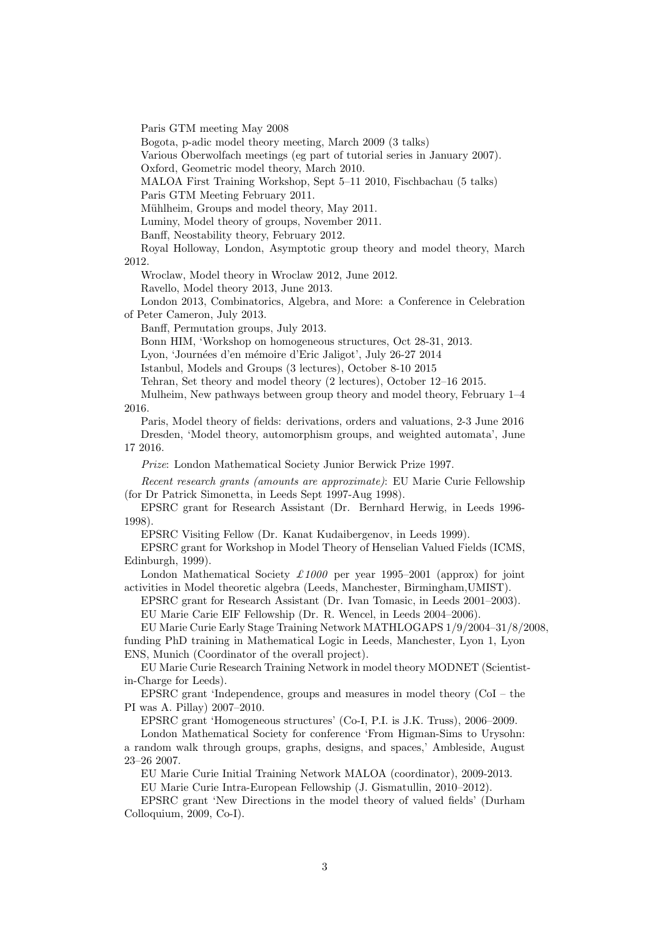Paris GTM meeting May 2008

Bogota, p-adic model theory meeting, March 2009 (3 talks)

Various Oberwolfach meetings (eg part of tutorial series in January 2007).

Oxford, Geometric model theory, March 2010.

MALOA First Training Workshop, Sept 5–11 2010, Fischbachau (5 talks)

Paris GTM Meeting February 2011.

Mühlheim, Groups and model theory, May 2011.

Luminy, Model theory of groups, November 2011.

Banff, Neostability theory, February 2012.

Royal Holloway, London, Asymptotic group theory and model theory, March 2012.

Wroclaw, Model theory in Wroclaw 2012, June 2012.

Ravello, Model theory 2013, June 2013.

London 2013, Combinatorics, Algebra, and More: a Conference in Celebration of Peter Cameron, July 2013.

Banff, Permutation groups, July 2013.

Bonn HIM, 'Workshop on homogeneous structures, Oct 28-31, 2013.

Lyon, 'Journées d'en mémoire d'Eric Jaligot', July 26-27 2014

Istanbul, Models and Groups (3 lectures), October 8-10 2015

Tehran, Set theory and model theory (2 lectures), October 12–16 2015.

Mulheim, New pathways between group theory and model theory, February 1–4 2016.

Paris, Model theory of fields: derivations, orders and valuations, 2-3 June 2016 Dresden, 'Model theory, automorphism groups, and weighted automata', June 17 2016.

Prize: London Mathematical Society Junior Berwick Prize 1997.

Recent research grants (amounts are approximate): EU Marie Curie Fellowship (for Dr Patrick Simonetta, in Leeds Sept 1997-Aug 1998).

EPSRC grant for Research Assistant (Dr. Bernhard Herwig, in Leeds 1996- 1998).

EPSRC Visiting Fellow (Dr. Kanat Kudaibergenov, in Leeds 1999).

EPSRC grant for Workshop in Model Theory of Henselian Valued Fields (ICMS, Edinburgh, 1999).

London Mathematical Society  $\pounds 1000$  per year 1995–2001 (approx) for joint activities in Model theoretic algebra (Leeds, Manchester, Birmingham,UMIST).

EPSRC grant for Research Assistant (Dr. Ivan Tomasic, in Leeds 2001–2003).

EU Marie Carie EIF Fellowship (Dr. R. Wencel, in Leeds 2004–2006).

EU Marie Curie Early Stage Training Network MATHLOGAPS 1/9/2004–31/8/2008, funding PhD training in Mathematical Logic in Leeds, Manchester, Lyon 1, Lyon ENS, Munich (Coordinator of the overall project).

EU Marie Curie Research Training Network in model theory MODNET (Scientistin-Charge for Leeds).

EPSRC grant 'Independence, groups and measures in model theory (CoI – the PI was A. Pillay) 2007–2010.

EPSRC grant 'Homogeneous structures' (Co-I, P.I. is J.K. Truss), 2006–2009.

London Mathematical Society for conference 'From Higman-Sims to Urysohn: a random walk through groups, graphs, designs, and spaces,' Ambleside, August 23–26 2007.

EU Marie Curie Initial Training Network MALOA (coordinator), 2009-2013.

EU Marie Curie Intra-European Fellowship (J. Gismatullin, 2010–2012).

EPSRC grant 'New Directions in the model theory of valued fields' (Durham Colloquium, 2009, Co-I).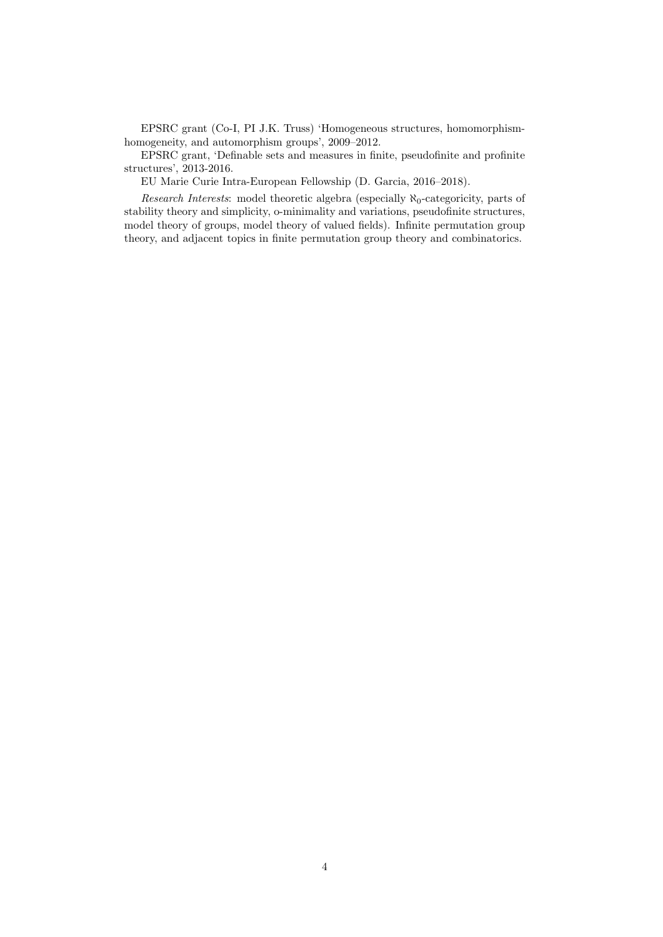EPSRC grant (Co-I, PI J.K. Truss) 'Homogeneous structures, homomorphismhomogeneity, and automorphism groups', 2009–2012.

EPSRC grant, 'Definable sets and measures in finite, pseudofinite and profinite structures', 2013-2016.

EU Marie Curie Intra-European Fellowship (D. Garcia, 2016–2018).

Research Interests: model theoretic algebra (especially  $\aleph_0$ -categoricity, parts of stability theory and simplicity, o-minimality and variations, pseudofinite structures, model theory of groups, model theory of valued fields). Infinite permutation group theory, and adjacent topics in finite permutation group theory and combinatorics.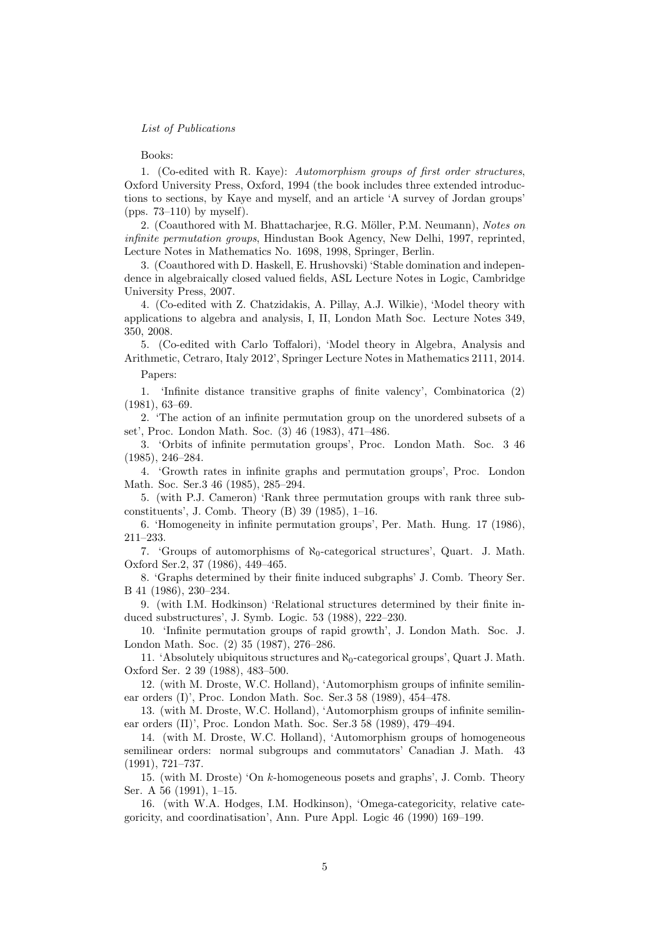## List of Publications

## Books:

1. (Co-edited with R. Kaye): Automorphism groups of first order structures, Oxford University Press, Oxford, 1994 (the book includes three extended introductions to sections, by Kaye and myself, and an article 'A survey of Jordan groups' (pps. 73–110) by myself).

2. (Coauthored with M. Bhattacharjee, R.G. Möller, P.M. Neumann), Notes on infinite permutation groups, Hindustan Book Agency, New Delhi, 1997, reprinted, Lecture Notes in Mathematics No. 1698, 1998, Springer, Berlin.

3. (Coauthored with D. Haskell, E. Hrushovski) 'Stable domination and independence in algebraically closed valued fields, ASL Lecture Notes in Logic, Cambridge University Press, 2007.

4. (Co-edited with Z. Chatzidakis, A. Pillay, A.J. Wilkie), 'Model theory with applications to algebra and analysis, I, II, London Math Soc. Lecture Notes 349, 350, 2008.

5. (Co-edited with Carlo Toffalori), 'Model theory in Algebra, Analysis and Arithmetic, Cetraro, Italy 2012', Springer Lecture Notes in Mathematics 2111, 2014.

Papers:

1. 'Infinite distance transitive graphs of finite valency', Combinatorica (2) (1981), 63–69.

2. 'The action of an infinite permutation group on the unordered subsets of a set', Proc. London Math. Soc. (3) 46 (1983), 471–486.

3. 'Orbits of infinite permutation groups', Proc. London Math. Soc. 3 46 (1985), 246–284.

4. 'Growth rates in infinite graphs and permutation groups', Proc. London Math. Soc. Ser.3 46 (1985), 285–294.

5. (with P.J. Cameron) 'Rank three permutation groups with rank three subconstituents', J. Comb. Theory (B) 39 (1985), 1–16.

6. 'Homogeneity in infinite permutation groups', Per. Math. Hung. 17 (1986), 211–233.

7. 'Groups of automorphisms of  $\aleph_0$ -categorical structures', Quart. J. Math. Oxford Ser.2, 37 (1986), 449–465.

8. 'Graphs determined by their finite induced subgraphs' J. Comb. Theory Ser. B 41 (1986), 230–234.

9. (with I.M. Hodkinson) 'Relational structures determined by their finite induced substructures', J. Symb. Logic. 53 (1988), 222–230.

10. 'Infinite permutation groups of rapid growth', J. London Math. Soc. J. London Math. Soc. (2) 35 (1987), 276–286.

11. 'Absolutely ubiquitous structures and  $\aleph_0$ -categorical groups', Quart J. Math. Oxford Ser. 2 39 (1988), 483–500.

12. (with M. Droste, W.C. Holland), 'Automorphism groups of infinite semilinear orders (I)', Proc. London Math. Soc. Ser.3 58 (1989), 454–478.

13. (with M. Droste, W.C. Holland), 'Automorphism groups of infinite semilinear orders (II)', Proc. London Math. Soc. Ser.3 58 (1989), 479–494.

14. (with M. Droste, W.C. Holland), 'Automorphism groups of homogeneous semilinear orders: normal subgroups and commutators' Canadian J. Math. 43 (1991), 721–737.

15. (with M. Droste) 'On k-homogeneous posets and graphs', J. Comb. Theory Ser. A 56 (1991), 1–15.

16. (with W.A. Hodges, I.M. Hodkinson), 'Omega-categoricity, relative categoricity, and coordinatisation', Ann. Pure Appl. Logic 46 (1990) 169–199.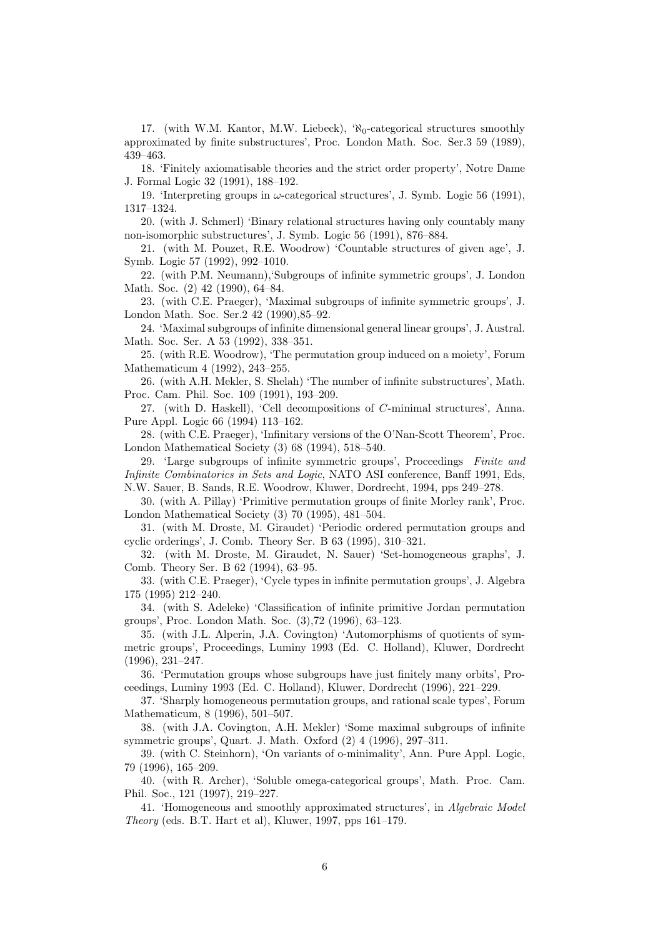17. (with W.M. Kantor, M.W. Liebeck),  $\aleph_0$ -categorical structures smoothly approximated by finite substructures', Proc. London Math. Soc. Ser.3 59 (1989), 439–463.

18. 'Finitely axiomatisable theories and the strict order property', Notre Dame J. Formal Logic 32 (1991), 188–192.

19. 'Interpreting groups in  $\omega$ -categorical structures', J. Symb. Logic 56 (1991), 1317–1324.

20. (with J. Schmerl) 'Binary relational structures having only countably many non-isomorphic substructures', J. Symb. Logic 56 (1991), 876–884.

21. (with M. Pouzet, R.E. Woodrow) 'Countable structures of given age', J. Symb. Logic 57 (1992), 992–1010.

22. (with P.M. Neumann),'Subgroups of infinite symmetric groups', J. London Math. Soc. (2) 42 (1990), 64–84.

23. (with C.E. Praeger), 'Maximal subgroups of infinite symmetric groups', J. London Math. Soc. Ser.2 42 (1990),85–92.

24. 'Maximal subgroups of infinite dimensional general linear groups', J. Austral. Math. Soc. Ser. A 53 (1992), 338–351.

25. (with R.E. Woodrow), 'The permutation group induced on a moiety', Forum Mathematicum 4 (1992), 243–255.

26. (with A.H. Mekler, S. Shelah) 'The number of infinite substructures', Math. Proc. Cam. Phil. Soc. 109 (1991), 193–209.

27. (with D. Haskell), 'Cell decompositions of C-minimal structures', Anna. Pure Appl. Logic 66 (1994) 113–162.

28. (with C.E. Praeger), 'Infinitary versions of the O'Nan-Scott Theorem', Proc. London Mathematical Society (3) 68 (1994), 518–540.

29. 'Large subgroups of infinite symmetric groups', Proceedings Finite and Infinite Combinatorics in Sets and Logic, NATO ASI conference, Banff 1991, Eds, N.W. Sauer, B. Sands, R.E. Woodrow, Kluwer, Dordrecht, 1994, pps 249–278.

30. (with A. Pillay) 'Primitive permutation groups of finite Morley rank', Proc. London Mathematical Society (3) 70 (1995), 481–504.

31. (with M. Droste, M. Giraudet) 'Periodic ordered permutation groups and cyclic orderings', J. Comb. Theory Ser. B 63 (1995), 310–321.

32. (with M. Droste, M. Giraudet, N. Sauer) 'Set-homogeneous graphs', J. Comb. Theory Ser. B 62 (1994), 63–95.

33. (with C.E. Praeger), 'Cycle types in infinite permutation groups', J. Algebra 175 (1995) 212–240.

34. (with S. Adeleke) 'Classification of infinite primitive Jordan permutation groups', Proc. London Math. Soc. (3),72 (1996), 63–123.

35. (with J.L. Alperin, J.A. Covington) 'Automorphisms of quotients of symmetric groups', Proceedings, Luminy 1993 (Ed. C. Holland), Kluwer, Dordrecht (1996), 231–247.

36. 'Permutation groups whose subgroups have just finitely many orbits', Proceedings, Luminy 1993 (Ed. C. Holland), Kluwer, Dordrecht (1996), 221–229.

37. 'Sharply homogeneous permutation groups, and rational scale types', Forum Mathematicum, 8 (1996), 501–507.

38. (with J.A. Covington, A.H. Mekler) 'Some maximal subgroups of infinite symmetric groups', Quart. J. Math. Oxford (2) 4 (1996), 297–311.

39. (with C. Steinhorn), 'On variants of o-minimality', Ann. Pure Appl. Logic, 79 (1996), 165–209.

40. (with R. Archer), 'Soluble omega-categorical groups', Math. Proc. Cam. Phil. Soc., 121 (1997), 219–227.

41. 'Homogeneous and smoothly approximated structures', in Algebraic Model Theory (eds. B.T. Hart et al), Kluwer, 1997, pps 161–179.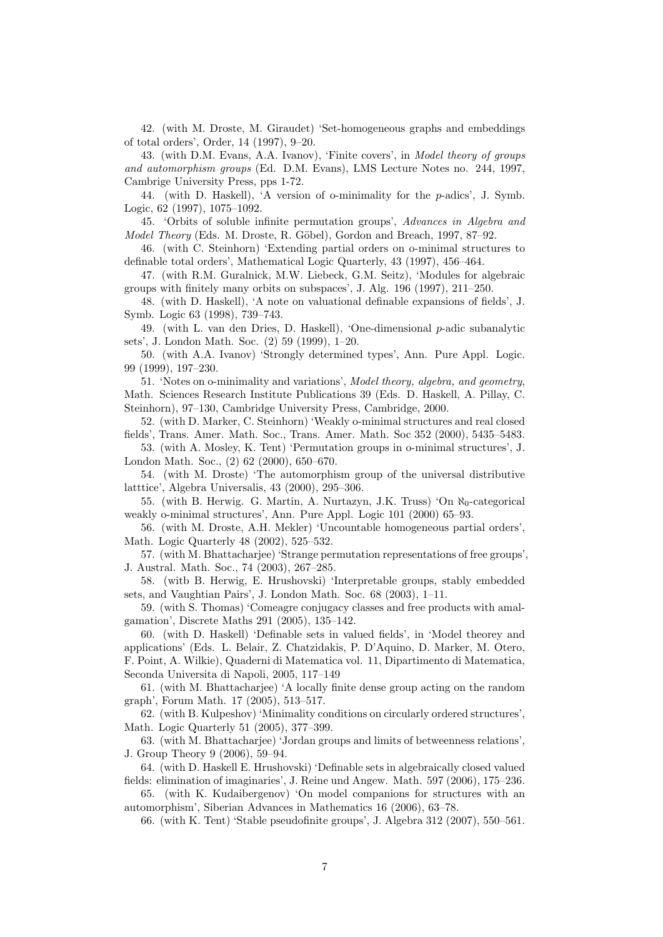42. (with M. Droste, M. Giraudet) 'Set-homogeneous graphs and embeddings of total orders', Order, 14 (1997), 9–20.

43. (with D.M. Evans, A.A. Ivanov), 'Finite covers', in Model theory of groups and automorphism groups (Ed. D.M. Evans), LMS Lecture Notes no. 244, 1997, Cambrige University Press, pps 1-72.

44. (with D. Haskell), 'A version of o-minimality for the p-adics', J. Symb. Logic, 62 (1997), 1075–1092.

45. 'Orbits of soluble infinite permutation groups', Advances in Algebra and Model Theory (Eds. M. Droste, R. Göbel), Gordon and Breach, 1997, 87-92.

46. (with C. Steinhorn) 'Extending partial orders on o-minimal structures to definable total orders', Mathematical Logic Quarterly, 43 (1997), 456–464.

47. (with R.M. Guralnick, M.W. Liebeck, G.M. Seitz), 'Modules for algebraic groups with finitely many orbits on subspaces', J. Alg. 196 (1997), 211–250.

48. (with D. Haskell), 'A note on valuational definable expansions of fields', J. Symb. Logic 63 (1998), 739–743.

49. (with L. van den Dries, D. Haskell), 'One-dimensional  $p$ -adic subanalytic sets', J. London Math. Soc. (2) 59 (1999), 1–20.

50. (with A.A. Ivanov) 'Strongly determined types', Ann. Pure Appl. Logic. 99 (1999), 197–230.

51. 'Notes on o-minimality and variations', Model theory, algebra, and geometry, Math. Sciences Research Institute Publications 39 (Eds. D. Haskell, A. Pillay, C. Steinhorn), 97–130, Cambridge University Press, Cambridge, 2000.

52. (with D. Marker, C. Steinhorn) 'Weakly o-minimal structures and real closed fields', Trans. Amer. Math. Soc., Trans. Amer. Math. Soc 352 (2000), 5435–5483.

53. (with A. Mosley, K. Tent) 'Permutation groups in o-minimal structures', J. London Math. Soc., (2) 62 (2000), 650–670.

54. (with M. Droste) 'The automorphism group of the universal distributive latttice', Algebra Universalis, 43 (2000), 295–306.

55. (with B. Herwig. G. Martin, A. Nurtazyn, J.K. Truss) 'On  $\aleph_0$ -categorical weakly o-minimal structures', Ann. Pure Appl. Logic 101 (2000) 65–93.

56. (with M. Droste, A.H. Mekler) 'Uncountable homogeneous partial orders', Math. Logic Quarterly 48 (2002), 525–532.

57. (with M. Bhattacharjee) 'Strange permutation representations of free groups', J. Austral. Math. Soc., 74 (2003), 267–285.

58. (witb B. Herwig, E. Hrushovski) 'Interpretable groups, stably embedded sets, and Vaughtian Pairs', J. London Math. Soc. 68 (2003), 1–11.

59. (with S. Thomas) 'Comeagre conjugacy classes and free products with amalgamation', Discrete Maths 291 (2005), 135–142.

60. (with D. Haskell) 'Definable sets in valued fields', in 'Model theorey and applications' (Eds. L. Belair, Z. Chatzidakis, P. D'Aquino, D. Marker, M. Otero, F. Point, A. Wilkie), Quaderni di Matematica vol. 11, Dipartimento di Matematica, Seconda Universita di Napoli, 2005, 117–149

61. (with M. Bhattacharjee) 'A locally finite dense group acting on the random graph', Forum Math. 17 (2005), 513–517.

62. (with B. Kulpeshov) 'Minimality conditions on circularly ordered structures', Math. Logic Quarterly 51 (2005), 377–399.

63. (with M. Bhattacharjee) 'Jordan groups and limits of betweenness relations', J. Group Theory 9 (2006), 59–94.

64. (with D. Haskell E. Hrushovski) 'Definable sets in algebraically closed valued fields: elimination of imaginaries', J. Reine und Angew. Math. 597 (2006), 175–236.

65. (with K. Kudaibergenov) 'On model companions for structures with an automorphism', Siberian Advances in Mathematics 16 (2006), 63–78.

66. (with K. Tent) 'Stable pseudofinite groups', J. Algebra 312 (2007), 550–561.